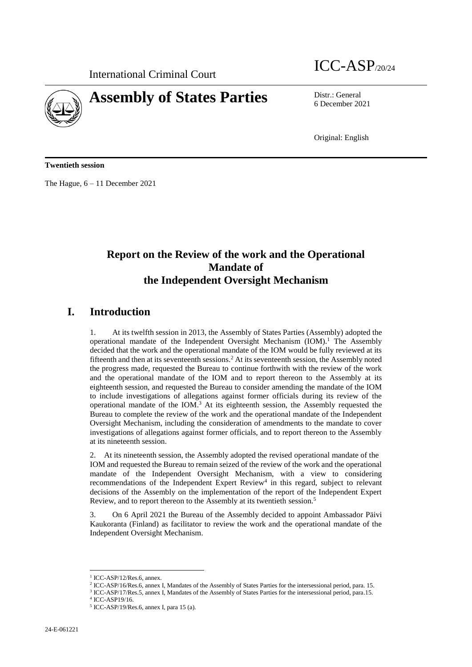

# International Criminal Court ICC-ASP/20/24

6 December 2021

Original: English

**Twentieth session**

The Hague, 6 – 11 December 2021

## **Report on the Review of the work and the Operational Mandate of the Independent Oversight Mechanism**

## **I. Introduction**

1. At its twelfth session in 2013, the Assembly of States Parties (Assembly) adopted the operational mandate of the Independent Oversight Mechanism  $(IOM)^1$ . The Assembly decided that the work and the operational mandate of the IOM would be fully reviewed at its fifteenth and then at its seventeenth sessions.<sup>2</sup> At its seventeenth session, the Assembly noted the progress made, requested the Bureau to continue forthwith with the review of the work and the operational mandate of the IOM and to report thereon to the Assembly at its eighteenth session, and requested the Bureau to consider amending the mandate of the IOM to include investigations of allegations against former officials during its review of the operational mandate of the IOM. <sup>3</sup> At its eighteenth session, the Assembly requested the Bureau to complete the review of the work and the operational mandate of the Independent Oversight Mechanism, including the consideration of amendments to the mandate to cover investigations of allegations against former officials, and to report thereon to the Assembly at its nineteenth session.

2. At its nineteenth session, the Assembly adopted the revised operational mandate of the IOM and requested the Bureau to remain seized of the review of the work and the operational mandate of the Independent Oversight Mechanism, with a view to considering recommendations of the Independent Expert Review<sup>4</sup> in this regard, subject to relevant decisions of the Assembly on the implementation of the report of the Independent Expert Review, and to report thereon to the Assembly at its twentieth session.<sup>5</sup>

3. On 6 April 2021 the Bureau of the Assembly decided to appoint Ambassador Päivi Kaukoranta (Finland) as facilitator to review the work and the operational mandate of the Independent Oversight Mechanism.

<sup>&</sup>lt;sup>1</sup> ICC-ASP/12/Res.6, annex.

<sup>2</sup> ICC-ASP/16/Res.6, annex I, Mandates of the Assembly of States Parties for the intersessional period, para. 15.

<sup>3</sup> ICC-ASP/17/Res.5, annex I, Mandates of the Assembly of States Parties for the intersessional period, para.15.

<sup>4</sup> ICC-ASP19/16.

<sup>5</sup> ICC-ASP/19/Res.6, annex I, para 15 (a).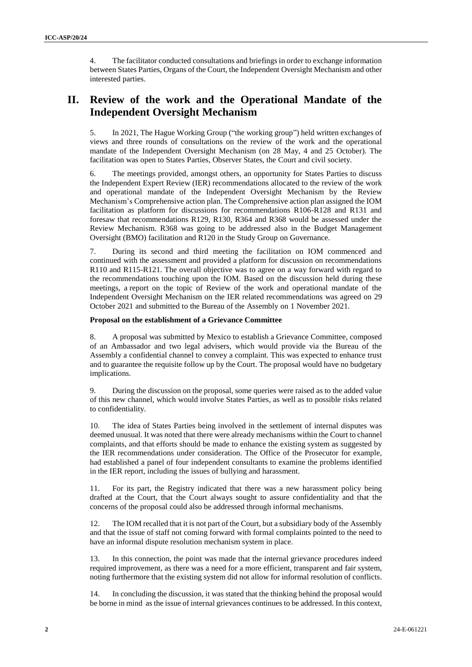4. The facilitator conducted consultations and briefings in order to exchange information between States Parties, Organs of the Court, the Independent Oversight Mechanism and other interested parties.

## **II. Review of the work and the Operational Mandate of the Independent Oversight Mechanism**

5. In 2021, The Hague Working Group ("the working group") held written exchanges of views and three rounds of consultations on the review of the work and the operational mandate of the Independent Oversight Mechanism (on 28 May, 4 and 25 October). The facilitation was open to States Parties, Observer States, the Court and civil society.

6. The meetings provided, amongst others, an opportunity for States Parties to discuss the Independent Expert Review (IER) recommendations allocated to the review of the work and operational mandate of the Independent Oversight Mechanism by the Review Mechanism's Comprehensive action plan. The Comprehensive action plan assigned the IOM facilitation as platform for discussions for recommendations R106-R128 and R131 and foresaw that recommendations R129, R130, R364 and R368 would be assessed under the Review Mechanism. R368 was going to be addressed also in the Budget Management Oversight (BMO) facilitation and R120 in the Study Group on Governance.

7. During its second and third meeting the facilitation on IOM commenced and continued with the assessment and provided a platform for discussion on recommendations R110 and R115-R121. The overall objective was to agree on a way forward with regard to the recommendations touching upon the IOM. Based on the discussion held during these meetings, a report on the topic of Review of the work and operational mandate of the Independent Oversight Mechanism on the IER related recommendations was agreed on 29 October 2021 and submitted to the Bureau of the Assembly on 1 November 2021.

#### **Proposal on the establishment of a Grievance Committee**

8. A proposal was submitted by Mexico to establish a Grievance Committee, composed of an Ambassador and two legal advisers, which would provide via the Bureau of the Assembly a confidential channel to convey a complaint. This was expected to enhance trust and to guarantee the requisite follow up by the Court. The proposal would have no budgetary implications.

9. During the discussion on the proposal, some queries were raised as to the added value of this new channel, which would involve States Parties, as well as to possible risks related to confidentiality.

10. The idea of States Parties being involved in the settlement of internal disputes was deemed unusual. It was noted that there were already mechanisms within the Court to channel complaints, and that efforts should be made to enhance the existing system as suggested by the IER recommendations under consideration. The Office of the Prosecutor for example, had established a panel of four independent consultants to examine the problems identified in the IER report, including the issues of bullying and harassment.

11. For its part, the Registry indicated that there was a new harassment policy being drafted at the Court, that the Court always sought to assure confidentiality and that the concerns of the proposal could also be addressed through informal mechanisms.

12. The IOM recalled that it is not part of the Court, but a subsidiary body of the Assembly and that the issue of staff not coming forward with formal complaints pointed to the need to have an informal dispute resolution mechanism system in place.

13. In this connection, the point was made that the internal grievance procedures indeed required improvement, as there was a need for a more efficient, transparent and fair system, noting furthermore that the existing system did not allow for informal resolution of conflicts.

14. In concluding the discussion, it was stated that the thinking behind the proposal would be borne in mind as the issue of internal grievances continues to be addressed. In this context,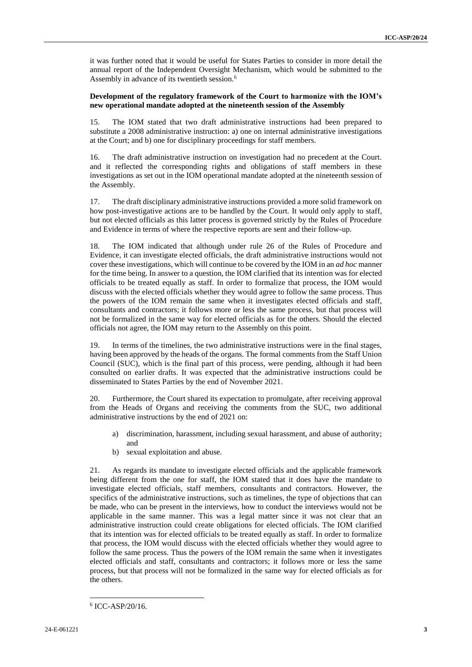it was further noted that it would be useful for States Parties to consider in more detail the annual report of the Independent Oversight Mechanism, which would be submitted to the Assembly in advance of its twentieth session.<sup>6</sup>

#### **Development of the regulatory framework of the Court to harmonize with the IOM's new operational mandate adopted at the nineteenth session of the Assembly**

15. The IOM stated that two draft administrative instructions had been prepared to substitute a 2008 administrative instruction: a) one on internal administrative investigations at the Court; and b) one for disciplinary proceedings for staff members.

16. The draft administrative instruction on investigation had no precedent at the Court. and it reflected the corresponding rights and obligations of staff members in these investigations as set out in the IOM operational mandate adopted at the nineteenth session of the Assembly.

17. The draft disciplinary administrative instructions provided a more solid framework on how post-investigative actions are to be handled by the Court. It would only apply to staff, but not elected officials as this latter process is governed strictly by the Rules of Procedure and Evidence in terms of where the respective reports are sent and their follow-up.

18. The IOM indicated that although under rule 26 of the Rules of Procedure and Evidence, it can investigate elected officials, the draft administrative instructions would not cover these investigations, which will continue to be covered by the IOM in an *ad hoc* manner for the time being. In answer to a question, the IOM clarified that its intention was for elected officials to be treated equally as staff. In order to formalize that process, the IOM would discuss with the elected officials whether they would agree to follow the same process. Thus the powers of the IOM remain the same when it investigates elected officials and staff, consultants and contractors; it follows more or less the same process, but that process will not be formalized in the same way for elected officials as for the others. Should the elected officials not agree, the IOM may return to the Assembly on this point.

19. In terms of the timelines, the two administrative instructions were in the final stages, having been approved by the heads of the organs. The formal comments from the Staff Union Council (SUC), which is the final part of this process, were pending, although it had been consulted on earlier drafts. It was expected that the administrative instructions could be disseminated to States Parties by the end of November 2021.

20. Furthermore, the Court shared its expectation to promulgate, after receiving approval from the Heads of Organs and receiving the comments from the SUC, two additional administrative instructions by the end of 2021 on:

- a) discrimination, harassment, including sexual harassment, and abuse of authority; and
- b) sexual exploitation and abuse.

21. As regards its mandate to investigate elected officials and the applicable framework being different from the one for staff, the IOM stated that it does have the mandate to investigate elected officials, staff members, consultants and contractors. However, the specifics of the administrative instructions, such as timelines, the type of objections that can be made, who can be present in the interviews, how to conduct the interviews would not be applicable in the same manner. This was a legal matter since it was not clear that an administrative instruction could create obligations for elected officials. The IOM clarified that its intention was for elected officials to be treated equally as staff. In order to formalize that process, the IOM would discuss with the elected officials whether they would agree to follow the same process. Thus the powers of the IOM remain the same when it investigates elected officials and staff, consultants and contractors; it follows more or less the same process, but that process will not be formalized in the same way for elected officials as for the others.

<sup>6</sup> ICC-ASP/20/16.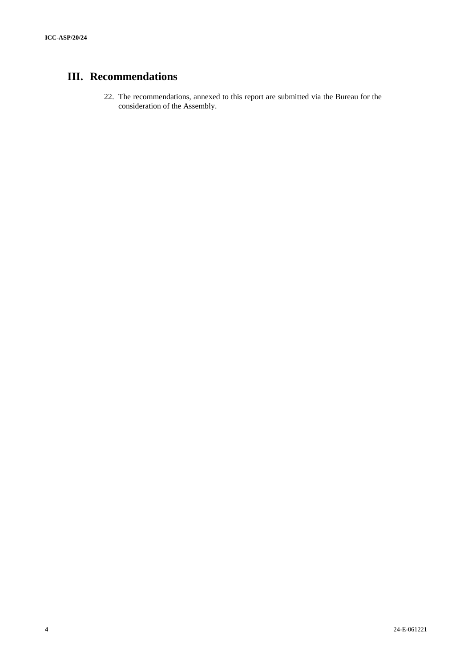# **III. Recommendations**

22. The recommendations, annexed to this report are submitted via the Bureau for the consideration of the Assembly.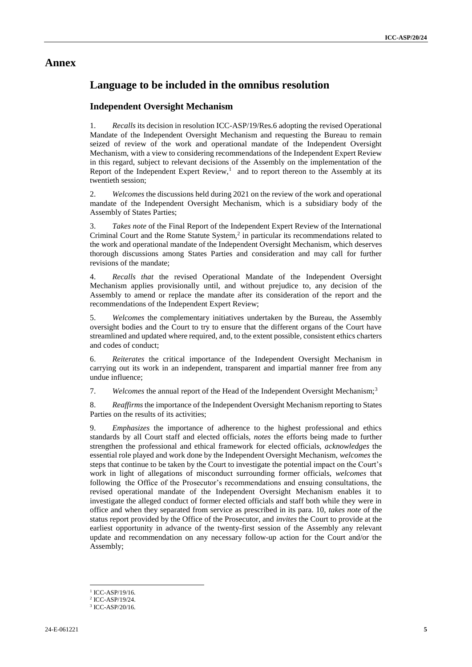## **Annex**

## **Language to be included in the omnibus resolution**

### **Independent Oversight Mechanism**

1. *Recalls* its decision in resolution ICC-ASP/19/Res.6 adopting the revised Operational Mandate of the Independent Oversight Mechanism and requesting the Bureau to remain seized of review of the work and operational mandate of the Independent Oversight Mechanism, with a view to considering recommendations of the Independent Expert Review in this regard, subject to relevant decisions of the Assembly on the implementation of the Report of the Independent Expert Review,<sup>1</sup> and to report thereon to the Assembly at its twentieth session;

2. *Welcomes* the discussions held during 2021 on the review of the work and operational mandate of the Independent Oversight Mechanism, which is a subsidiary body of the Assembly of States Parties;

3. *Takes note* of the Final Report of the Independent Expert Review of the International Criminal Court and the Rome Statute System, $<sup>2</sup>$  in particular its recommendations related to</sup> the work and operational mandate of the Independent Oversight Mechanism, which deserves thorough discussions among States Parties and consideration and may call for further revisions of the mandate;

4. *Recalls that* the revised Operational Mandate of the Independent Oversight Mechanism applies provisionally until, and without prejudice to, any decision of the Assembly to amend or replace the mandate after its consideration of the report and the recommendations of the Independent Expert Review;

5. *Welcomes* the complementary initiatives undertaken by the Bureau, the Assembly oversight bodies and the Court to try to ensure that the different organs of the Court have streamlined and updated where required, and, to the extent possible, consistent ethics charters and codes of conduct;

6. *Reiterates* the critical importance of the Independent Oversight Mechanism in carrying out its work in an independent, transparent and impartial manner free from any undue influence;

7. *Welcomes* the annual report of the Head of the Independent Oversight Mechanism;<sup>3</sup>

8. *Reaffirms* the importance of the Independent Oversight Mechanism reporting to States Parties on the results of its activities;

9. *Emphasizes* the importance of adherence to the highest professional and ethics standards by all Court staff and elected officials, *notes* the efforts being made to further strengthen the professional and ethical framework for elected officials, *acknowledges* the essential role played and work done by the Independent Oversight Mechanism, *welcomes* the steps that continue to be taken by the Court to investigate the potential impact on the Court's work in light of allegations of misconduct surrounding former officials, *welcomes* that following the Office of the Prosecutor's recommendations and ensuing consultations, the revised operational mandate of the Independent Oversight Mechanism enables it to investigate the alleged conduct of former elected officials and staff both while they were in office and when they separated from service as prescribed in its para. 10, *takes note* of the status report provided by the Office of the Prosecutor, and *invites* the Court to provide at the earliest opportunity in advance of the twenty-first session of the Assembly any relevant update and recommendation on any necessary follow-up action for the Court and/or the Assembly;

<sup>&</sup>lt;sup>1</sup> ICC-ASP/19/16.

<sup>2</sup> ICC-ASP/19/24.

<sup>3</sup> ICC-ASP/20/16.